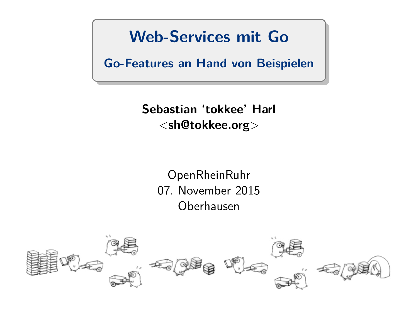**Web-Services mit Go**

<span id="page-0-0"></span>**Go-Features an Hand von Beispielen**

**Sebastian 'tokkee' Harl** *<***sh@tokkee.org***>*

> OpenRheinRuhr 07. November 2015 Oberhausen

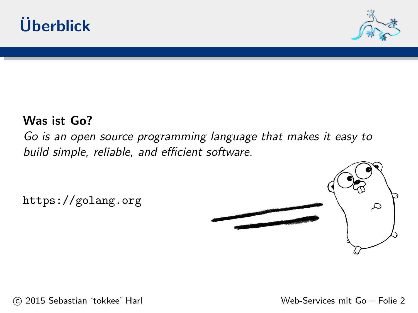



#### Was ist Go?

Go is an open source programming language that makes it easy to build simple, reliable, and efficient software.

https://golang.org

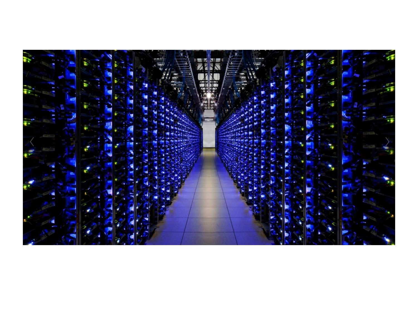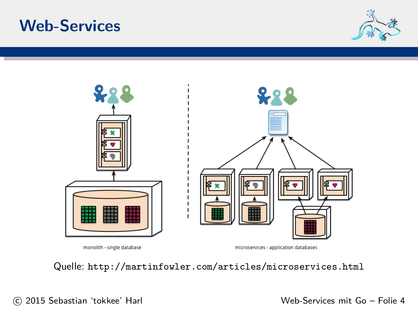### **Web-Services**





Quelle: http://martinfowler.com/articles/microservices.html

(c) 2015 Sebastian 'tokkee' Harl

Web-Services mit Go - Folie 4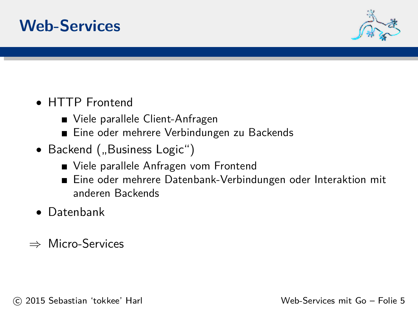



- HTTP Frontend
	- Viele parallele Client-Anfragen
	- Eine oder mehrere Verbindungen zu Backends
- Backend ("Business Logic")
	- Viele parallele Anfragen vom Frontend
	- Eine oder mehrere Datenbank-Verbindungen oder Interaktion mit anderen Backends
- $\bullet$  Datenbank
- $\Rightarrow$  Micro-Services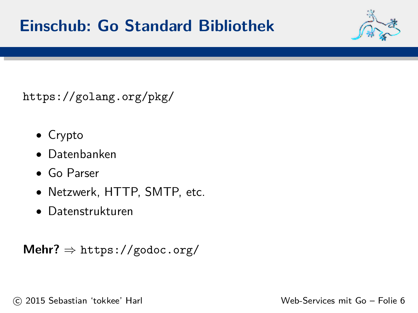## **Einschub: Go Standard Bibliothek**



https://golang.org/pkg/

- $\bullet$  Crypto
- $\bullet$  Datenbanken
- $\bullet$  Go Parser
- Netzwerk, HTTP, SMTP, etc.
- Datenstrukturen

```
Mehr? \Rightarrow https://godoc.org/
```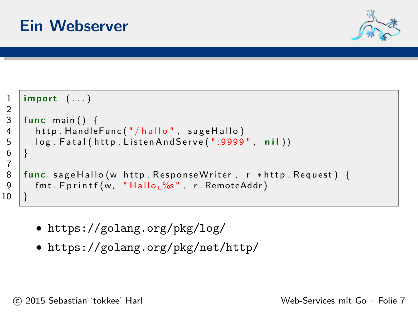### **Ein Webserver**



```
1 im p o r t ( . . . )
\frac{2}{3}func main () {
4 http. HandleFunc ("/hallo", sageHallo)
5 l o g . F a t a l ( h t t p . L i s t e n A n d S e r v e ( " : 9 9 9 9 " , n i l ) )
6 |}
7
8 func sageHallo (w http. ResponseWriter, r *http. Request) {
9 | fmt Fprintf (w, "Hallo 3%s", r . RemoteAddr)
10 }
```
- <https://golang.org/pkg/log/>
- <https://golang.org/pkg/net/http/>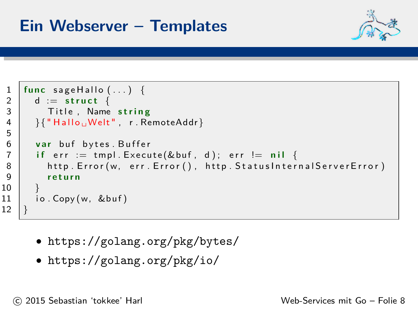### **Ein Webserver – Templates**



```
1 func sage Hallo (...) {
 2 d := struct {<br>3 Title, Name
           Title, Name string
 4 | \{ \{ \} \{ \{ \} \{ \} \{ \{ \} \{ \} \{ \} \{ \} \{ \} \{ \} \{ \} \{ \} \{ \} \{ \} \{ \{ \} \{ \} \{ \} \{ \} \{ \{ \} \{ \} 
 5
 6 var buf bytes.Buffer<br>7 if err := tmpl.Execu
         if err := tmp1. Execute(&buf, d); err := nil8 http. Error (w, err. Error (), http. StatusInternalServerError)
 9 return
10 }
11 io . Copy (w, &buf)
12 }
```
- <https://golang.org/pkg/bytes/>
- <https://golang.org/pkg/io/>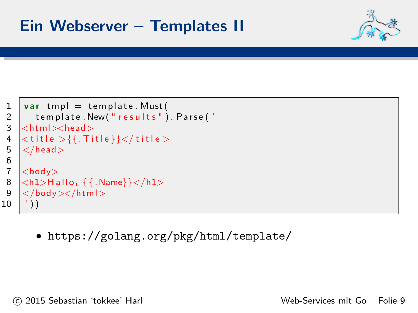### **Ein Webserver – Templates II**



```
\begin{array}{c|c} 1 & \text{var } \text{tmp} = \text{template}. \text{Must(} \\ 2 & \text{template}. \text{New("results"}) \end{array}2 tem plate . New ("r results"). Parse ('3 <html>head><html>head>4 \vert < title >\vert > {{. Title }} </ title >
 5 | \lt/head >\frac{6}{7}<body>8 \langle h1\rangleHallo<sub>u</sub>{{.Name}}\langle h1\rangle9 | \langle /body >\rangle/html >10
```
• <https://golang.org/pkg/html/template/>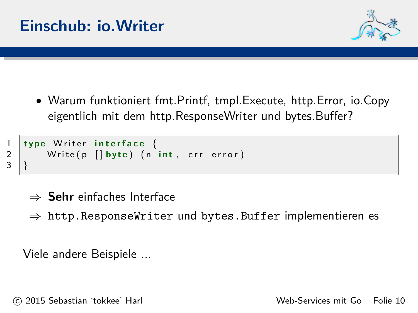

• Warum funktioniert fmt.Printf, tmpl.Execute, http.Error, io.Copy eigentlich mit dem http.ResponseWriter und bytes.Buffer?

```
1 type Writer interface {<br>2 Write(p []byte) (n
          Write (p [ ] byte ) (n int, err error )
```
- ⇒ **Sehr** einfaches Interface
- $\Rightarrow$  http.ResponseWriter und bytes.Buffer implementieren es

Viele andere Beispiele ...

3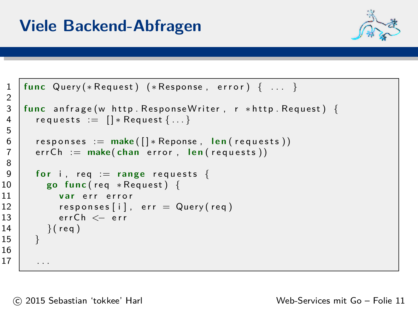

```
1 | func Query (* Request) (* Response, error) { ... }
 \frac{2}{3}func anfrage (w http. Response Writer, r *http. Request) {
 4 | requests := \{|\} * \text{Request} \{ \dots \}5
 \begin{array}{lll} 6 & \text{response} & \text{= make} ([] * \text{Response}, \text{ len} (\text{request}) ) \\ 7 & \text{errCh} & \text{= make} (\text{chan error} & \text{len} (\text{request}) ) \end{array}errCh := make(char error, len(requests))8
 9 for i, req := range requests {
10 go func (req *Request) {
11 var err error
12 responses [i], err = Query (req)
13 errCh \leq err
14 } (reg)
15 }
16
17
```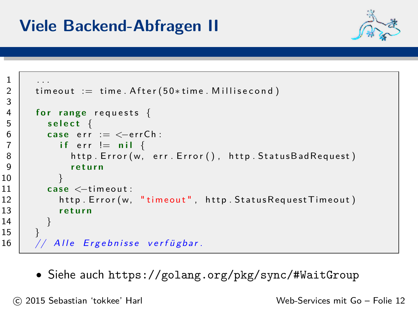## **Viele Backend-Abfragen II**

```
1 \quad | \quad \ldots2 timeout := time. After (50*time. Millisecond)3
 4 for range requests {
 5 s e l e c t {
\begin{array}{c|c|c|c|c} 6 & \text{case err} & \text{:=} & \text{--errCh}: & \ \hline 7 & \text{if err} & \text{!=} & \text{nil} & \end{array}if err != nil {
8 http . Error (w, err . Error (), http . Status Bad Request)
9 return
10 }
11 case <−timeout :
12 http . Error (w, "timeout", http . Status Request Timeout)
13 return
14 }
15 }
16 // Alle Ergebnisse verfügbar.
```
• Siehe auch <https://golang.org/pkg/sync/#WaitGroup>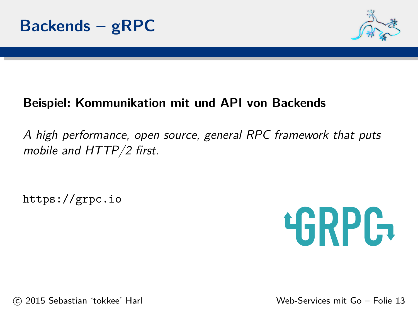



### Beispiel: Kommunikation mit und API von Backends

A high performance, open source, general RPC framework that puts mobile and HTTP/2 first.

https://grpc.io



C 2015 Sebastian 'tokkee' Harl

Web-Services mit Go - Folie 13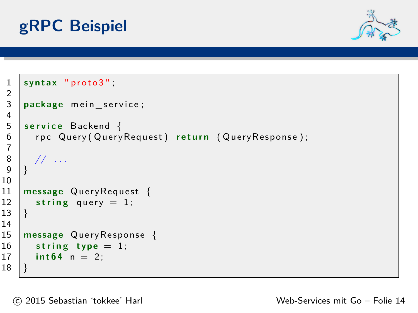



```
1 syntax "proto3";
\frac{2}{3}package mein service;
4
5 | service Backend {
6 rpc Query ( Query Request ) return ( Query Response );
7
\begin{array}{c|c} 8 & // & \dots \\ \hline 9 & & \end{array}\}10
11 message QueryRequest {
12 string query = 1;
13 |14
15 message QueryResponse {
16 string type = 1;
17 int64 n = 2;
18 }
```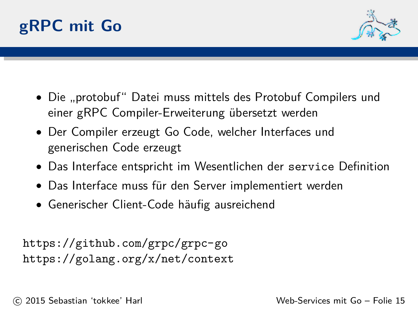



- Die "protobuf" Datei muss mittels des Protobuf Compilers und einer gRPC Compiler-Erweiterung übersetzt werden
- Der Compiler erzeugt Go Code, welcher Interfaces und generischen Code erzeugt
- Das Interface entspricht im Wesentlichen der service Definition
- Das Interface muss für den Server implementiert werden
- Generischer Client-Code häufig ausreichend

https://github.com/grpc/grpc-go https://golang.org/x/net/context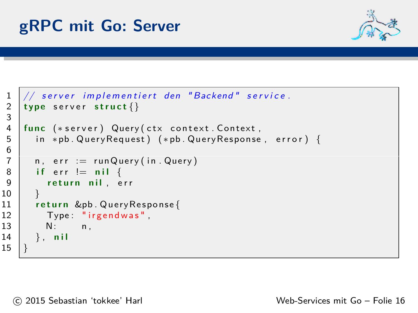## **gRPC mit Go: Server**



```
1 \frac{1}{2} server implementiert den "Backend" service.
 2 type server struct {}
 3
 4 func (*server) Query (ctx context Context,<br>5 in *pb OuervRequest) (*pb OuervResponse
        in *pb. QueryRequest) (* pb. QueryResponse, error ) \{\frac{6}{7}n, err := runQuery ( in . Query )
 \begin{array}{c|c} 8 & \text{if err} & \text{!= nil} \\ 9 & \text{return nil} & \text{e} \end{array}return nil, err
10 | }
11 | return &pb. Query Response {
12 Type "irgendwas"
13 N: n.
14 }, nil
15 }
```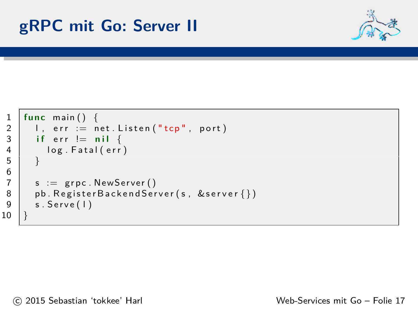## **gRPC mit Go: Server II**



```
\begin{array}{c|c} 1 & \text{func } \text{ main}() \\ 2 & 1, \text{ err} := \text{n} \end{array}2 | I, err := net . Listen ("top", port)<br>3 if err != nil {
           if err != nil {
 4 \mid \log . Fatal (err)
 5 |\frac{6}{7}7 \mid s := \text{g rpc} . New Server ( )<br>8 \mid pb . Register Backend Ser
           pb . Register Backend Server (s, &server { })
 9 \mid s. Serve (1)
10 }
```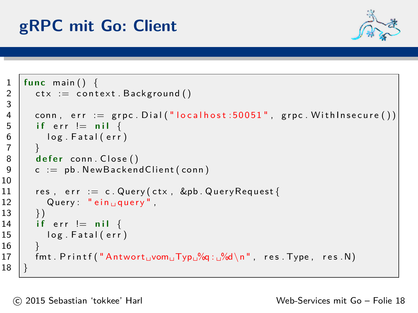# **gRPC mit Go: Client**



```
1 | func main () {
 2 \mid ctx := \text{context} \cdot \text{Background}()3
 4 conn, err := grpc. Dial ("localhost:50051", grpc. WithInsecure ()
 5 if err != nil {
6 log. Fatal (err)
 \overline{7}8 defer conn. Close ()
9 \mid c := pb. New Backend Client (conn)
10
11 res, err := c. Query (ctx, &pb. Query Request {
12 Query " ein \Box query",
13 \mid \}14 if err != nil {
15 log . Fatal (err)
16 }
17 fmt . P r i n t f ( " An two r t ␣vom␣Typ␣%q : ␣%d\n" , r e s . Type , r e s .N)
18 }
```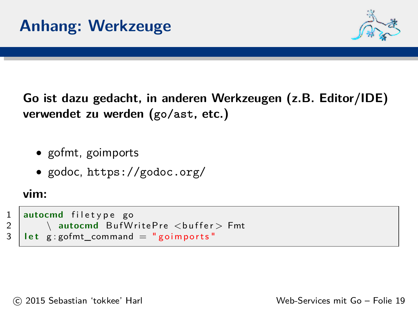

Go ist dazu gedacht, in anderen Werkzeugen (z.B. Editor/IDE) verwendet zu werden (go/ast, etc.)

- · gofmt, goimports
- godoc, https://godoc.org/

#### vim:

```
1
\overline{2}3
```

```
autocmd filetype go
      autocmd BufWritePre <buffer>Fmt
let g:gofmt_command = "goimports"
```
C 2015 Sebastian 'tokkee' Harl